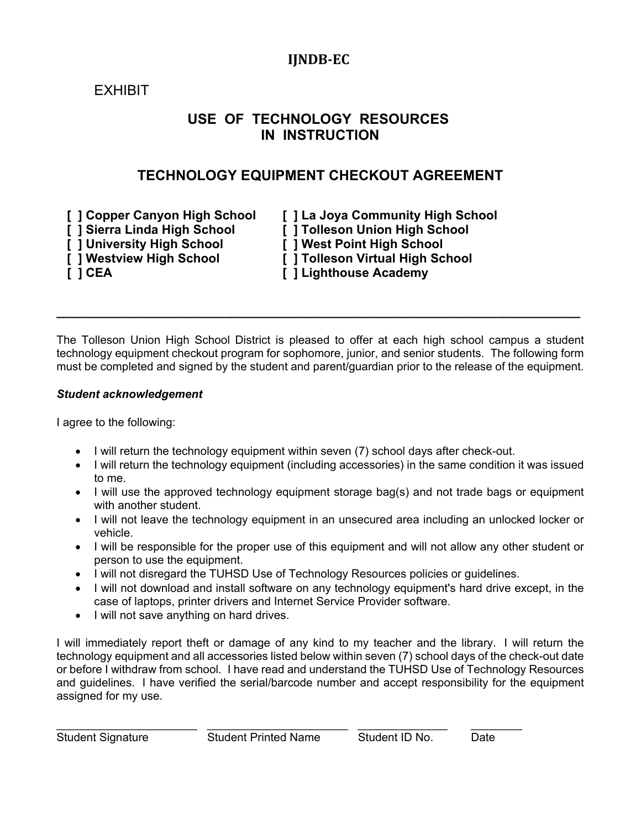## **IJNDB‐EC**

# EXHIBIT

## **USE OF TECHNOLOGY RESOURCES IN INSTRUCTION**

### **TECHNOLOGY EQUIPMENT CHECKOUT AGREEMENT**

- **[ ] Sierra Linda High School [ ] Tolleson Union High School**
- **[ ] University High School [ ] West Point High School**
- **[ ] Westview High School [ ] Tolleson Virtual High School**
- 

 **[ ] Copper Canyon High School [ ] La Joya Community High School** 

- 
- **F 1 CEA CEA EXECUTE: F** 1 Lighthouse Academy

The Tolleson Union High School District is pleased to offer at each high school campus a student technology equipment checkout program for sophomore, junior, and senior students. The following form must be completed and signed by the student and parent/guardian prior to the release of the equipment.

**\_\_\_\_\_\_\_\_\_\_\_\_\_\_\_\_\_\_\_\_\_\_\_\_\_\_\_\_\_\_\_\_\_\_\_\_\_\_\_\_\_\_\_\_\_\_\_\_\_\_\_\_\_\_\_\_\_\_\_\_\_\_\_\_\_\_\_\_\_\_\_\_\_\_\_**

#### *Student acknowledgement*

I agree to the following:

- I will return the technology equipment within seven (7) school days after check-out.
- I will return the technology equipment (including accessories) in the same condition it was issued to me.
- I will use the approved technology equipment storage bag(s) and not trade bags or equipment with another student.
- I will not leave the technology equipment in an unsecured area including an unlocked locker or vehicle.
- I will be responsible for the proper use of this equipment and will not allow any other student or person to use the equipment.
- I will not disregard the TUHSD Use of Technology Resources policies or guidelines.
- I will not download and install software on any technology equipment's hard drive except, in the case of laptops, printer drivers and Internet Service Provider software.
- I will not save anything on hard drives.

I will immediately report theft or damage of any kind to my teacher and the library. I will return the technology equipment and all accessories listed below within seven (7) school days of the check-out date or before I withdraw from school. I have read and understand the TUHSD Use of Technology Resources and guidelines. I have verified the serial/barcode number and accept responsibility for the equipment assigned for my use.

\_\_\_\_\_\_\_\_\_\_\_\_\_\_\_\_\_\_\_\_\_\_ \_\_\_\_\_\_\_\_\_\_\_\_\_\_\_\_\_\_\_\_\_\_ \_\_\_\_\_\_\_\_\_\_\_\_\_\_ \_\_\_\_\_\_\_\_